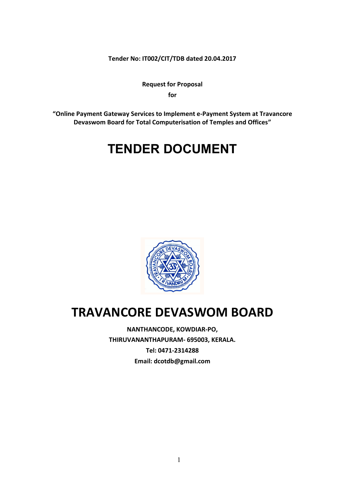**Tender No: IT002/CIT/TDB dated 20.04.2017**

**Request for Proposal for**

**"Online Payment Gateway Services to Implement e-Payment System at Travancore Devaswom Board for Total Computerisation of Temples and Offices"**

# **TENDER DOCUMENT**



## **TRAVANCORE DEVASWOM BOARD**

**NANTHANCODE, KOWDIAR-PO, THIRUVANANTHAPURAM- 695003, KERALA. Tel: 0471-2314288 Email: dcotdb@gmail.com**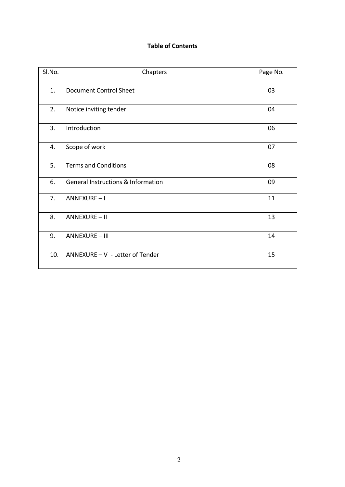## **Table of Contents**

| Sl.No. | Chapters                                      | Page No. |
|--------|-----------------------------------------------|----------|
| 1.     | <b>Document Control Sheet</b>                 | 03       |
| 2.     | Notice inviting tender                        | 04       |
| 3.     | Introduction                                  | 06       |
| 4.     | Scope of work                                 | 07       |
| 5.     | <b>Terms and Conditions</b>                   | 08       |
| 6.     | <b>General Instructions &amp; Information</b> | 09       |
| 7.     | <b>ANNEXURE-I</b>                             | 11       |
| 8.     | <b>ANNEXURE-II</b>                            | 13       |
| 9.     | <b>ANNEXURE - III</b>                         | 14       |
| 10.    | ANNEXURE - V - Letter of Tender               | 15       |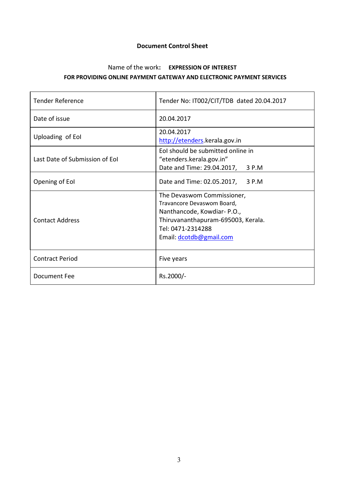#### **Document Control Sheet**

## Name of the work**: EXPRESSION OF INTEREST FOR PROVIDING ONLINE PAYMENT GATEWAY AND ELECTRONIC PAYMENT SERVICES**

| <b>Tender Reference</b>        | Tender No: IT002/CIT/TDB dated 20.04.2017                                                                                                                                    |  |  |
|--------------------------------|------------------------------------------------------------------------------------------------------------------------------------------------------------------------------|--|--|
| Date of issue                  | 20.04.2017                                                                                                                                                                   |  |  |
| Uploading of Eol               | 20.04.2017<br>http://etenders.kerala.gov.in                                                                                                                                  |  |  |
| Last Date of Submission of Eol | Eol should be submitted online in<br>"etenders.kerala.gov.in"<br>Date and Time: 29.04.2017,<br>3 P.M                                                                         |  |  |
| Opening of Eol                 | Date and Time: 02.05.2017, 3 P.M                                                                                                                                             |  |  |
| <b>Contact Address</b>         | The Devaswom Commissioner,<br>Travancore Devaswom Board,<br>Nanthancode, Kowdiar-P.O.,<br>Thiruvananthapuram-695003, Kerala.<br>Tel: 0471-2314288<br>Email: dcotdb@gmail.com |  |  |
| <b>Contract Period</b>         | Five years                                                                                                                                                                   |  |  |
| Document Fee                   | Rs.2000/-                                                                                                                                                                    |  |  |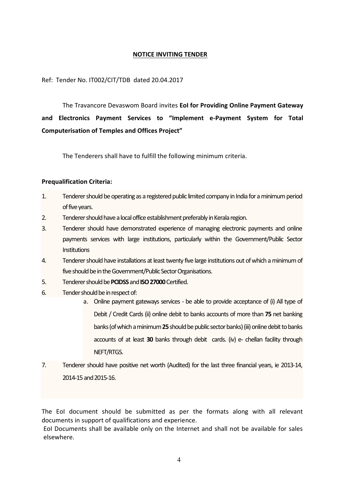#### **NOTICE INVITING TENDER**

Ref: Tender No. IT002/CIT/TDB dated 20.04.2017

The Travancore Devaswom Board invites **EoI for Providing Online Payment Gateway and Electronics Payment Services to "Implement e-Payment System for Total Computerisation of Temples and Offices Project"**

The Tenderers shall have to fulfill the following minimum criteria.

#### **Prequalification Criteria:**

- 1. Tenderer should be operating as a registered public limited company in India for a minimum period of five years.
- 2. Tenderer should have a local office establishment preferably in Kerala region.
- 3. Tenderer should have demonstrated experience of managing electronic payments and online payments services with large institutions, particularly within the Government/Public Sector Institutions
- 4. Tenderer should have installations at least twenty five large institutions out of which a minimum of five should be in the Government/Public Sector Organisations.
- 5. Tenderer should be **PCIDSS**and **ISO27000**Certified.
- 6. Tender should be in respect of:
	- a. Online payment gateways services be able to provide acceptance of (i) All type of Debit / Credit Cards (ii) online debit to banks accounts of more than **75** net banking banks (of which a minimum **25**should be public sector banks) (iii) online debit to banks accounts of at least **30** banks through debit cards. (iv) e- chellan facility through NEFT/RTGS.
- 7. Tenderer should have positive net worth (Audited) for the last three financial years, ie 2013-14, 2014-15 and 2015-16.

The EoI document should be submitted as per the formats along with all relevant documents in support of qualifications and experience.

EoI Documents shall be available only on the Internet and shall not be available for sales elsewhere.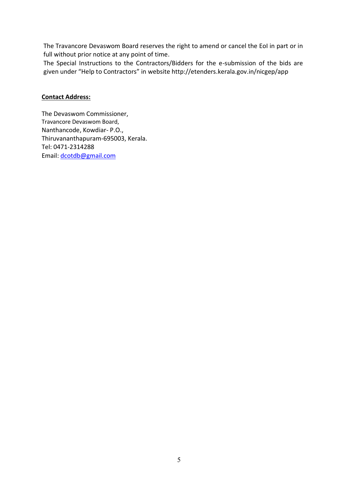The Travancore Devaswom Board reserves the right to amend or cancel the EoI in part or in full without prior notice at any point of time.

The Special Instructions to the Contractors/Bidders for the e-submission of the bids are given under "Help to Contractors" in website http://etenders.kerala.gov.in/nicgep/app

#### **Contact Address:**

The Devaswom Commissioner, Travancore Devaswom Board, Nanthancode, Kowdiar- P.O., Thiruvananthapuram-695003, Kerala. Tel: 0471-2314288 Email: [dcotdb@gmail.com](mailto:dcotdb@gmail.com)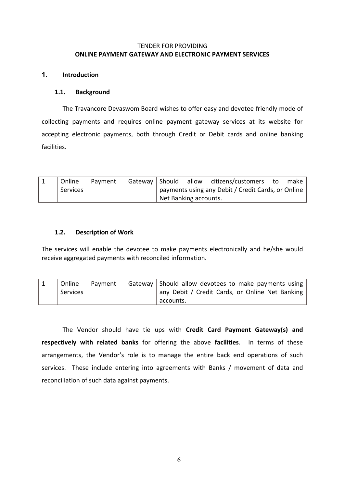#### TENDER FOR PROVIDING **ONLINE PAYMENT GATEWAY AND ELECTRONIC PAYMENT SERVICES**

#### **1. Introduction**

#### **1.1. Background**

The Travancore Devaswom Board wishes to offer easy and devotee friendly mode of collecting payments and requires online payment gateway services at its website for accepting electronic payments, both through Credit or Debit cards and online banking facilities.

| Online   | Payment |                                                    |  | Gateway Should allow citizens/customers to |  | make |
|----------|---------|----------------------------------------------------|--|--------------------------------------------|--|------|
| Services |         | payments using any Debit / Credit Cards, or Online |  |                                            |  |      |
|          |         | Net Banking accounts.                              |  |                                            |  |      |

#### **1.2. Description of Work**

The services will enable the devotee to make payments electronically and he/she would receive aggregated payments with reconciled information.

| Online   | Payment | Gateway Should allow devotees to make payments using |
|----------|---------|------------------------------------------------------|
| Services |         | any Debit / Credit Cards, or Online Net Banking      |
|          |         | accounts.                                            |

The Vendor should have tie ups with **Credit Card Payment Gateway(s) and respectively with related banks** for offering the above **facilities**. In terms of these arrangements, the Vendor's role is to manage the entire back end operations of such services. These include entering into agreements with Banks / movement of data and reconciliation of such data against payments.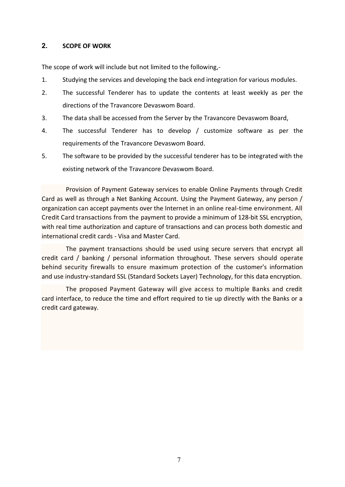#### **2. SCOPE OF WORK**

The scope of work will include but not limited to the following,-

- 1. Studying the services and developing the back end integration for various modules.
- 2. The successful Tenderer has to update the contents at least weekly as per the directions of the Travancore Devaswom Board.
- 3. The data shall be accessed from the Server by the Travancore Devaswom Board,
- 4. The successful Tenderer has to develop / customize software as per the requirements of the Travancore Devaswom Board.
- 5. The software to be provided by the successful tenderer has to be integrated with the existing network of the Travancore Devaswom Board.

Provision of Payment Gateway services to enable Online Payments through Credit Card as well as through a Net Banking Account. Using the Payment Gateway, any person / organization can accept payments over the Internet in an online real-time environment. All Credit Card transactions from the payment to provide a minimum of 128-bit SSL encryption, with real time authorization and capture of transactions and can process both domestic and international credit cards - Visa and Master Card.

The payment transactions should be used using secure servers that encrypt all credit card / banking / personal information throughout. These servers should operate behind security firewalls to ensure maximum protection of the customer's information and use industry-standard SSL (Standard Sockets Layer) Technology, for this data encryption.

The proposed Payment Gateway will give access to multiple Banks and credit card interface, to reduce the time and effort required to tie up directly with the Banks or a credit card gateway.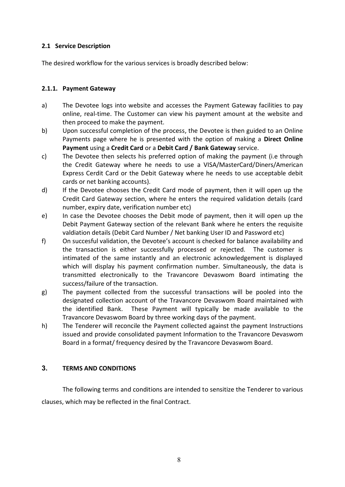#### **2.1 Service Description**

The desired workflow for the various services is broadly described below:

#### **2.1.1. Payment Gateway**

- a) The Devotee logs into website and accesses the Payment Gateway facilities to pay online, real-time. The Customer can view his payment amount at the website and then proceed to make the payment.
- b) Upon successful completion of the process, the Devotee is then guided to an Online Payments page where he is presented with the option of making a **Direct Online Payment** using a **Credit Card** or a **Debit Card / Bank Gateway** service.
- c) The Devotee then selects his preferred option of making the payment (i.e through the Credit Gateway where he needs to use a VISA/MasterCard/Diners/American Express Cerdit Card or the Debit Gateway where he needs to use acceptable debit cards or net banking accounts).
- d) If the Devotee chooses the Credit Card mode of payment, then it will open up the Credit Card Gateway section, where he enters the required validation details (card number, expiry date, verification number etc)
- e) In case the Devotee chooses the Debit mode of payment, then it will open up the Debit Payment Gateway section of the relevant Bank where he enters the requisite valdiation details (Debit Card Number / Net banking User ID and Password etc)
- f) On succesful validation, the Devotee's account is checked for balance availability and the transaction is either successfully processed or rejected. The customer is intimated of the same instantly and an electronic acknowledgement is displayed which will display his payment confirmation number. Simultaneously, the data is transmitted electronically to the Travancore Devaswom Board intimating the success/failure of the transaction.
- g) The payment collected from the successful transactions will be pooled into the designated collection account of the Travancore Devaswom Board maintained with the identified Bank. These Payment will typically be made available to the Travancore Devaswom Board by three working days of the payment.
- h) The Tenderer will reconcile the Payment collected against the payment Instructions issued and provide consolidated payment Information to the Travancore Devaswom Board in a format/ frequency desired by the Travancore Devaswom Board.

#### **3. TERMS AND CONDITIONS**

The following terms and conditions are intended to sensitize the Tenderer to various clauses, which may be reflected in the final Contract.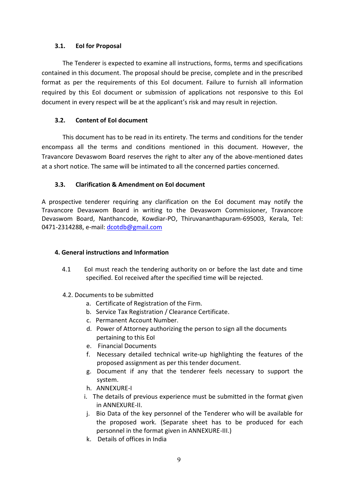#### **3.1. EoI for Proposal**

The Tenderer is expected to examine all instructions, forms, terms and specifications contained in this document. The proposal should be precise, complete and in the prescribed format as per the requirements of this EoI document. Failure to furnish all information required by this EoI document or submission of applications not responsive to this EoI document in every respect will be at the applicant's risk and may result in rejection.

#### **3.2. Content of EoI document**

This document has to be read in its entirety. The terms and conditions for the tender encompass all the terms and conditions mentioned in this document. However, the Travancore Devaswom Board reserves the right to alter any of the above-mentioned dates at a short notice. The same will be intimated to all the concerned parties concerned.

#### **3.3. Clarification & Amendment on EoI document**

A prospective tenderer requiring any clarification on the EoI document may notify the Travancore Devaswom Board in writing to the Devaswom Commissioner, Travancore Devaswom Board, Nanthancode, Kowdiar-PO, Thiruvananthapuram-695003, Kerala, Tel: 0471-2314288, e-mail: [dcotdb@gmail.com](mailto:dcotdb@gmail.com)

#### **4. General instructions and Information**

- 4.1 EoI must reach the tendering authority on or before the last date and time specified. EoI received after the specified time will be rejected.
- 4.2. Documents to be submitted
	- a. Certificate of Registration of the Firm.
	- b. Service Tax Registration / Clearance Certificate.
	- c. Permanent Account Number.
	- d. Power of Attorney authorizing the person to sign all the documents pertaining to this EoI
	- e. Financial Documents
	- f. Necessary detailed technical write-up highlighting the features of the proposed assignment as per this tender document.
	- g. Document if any that the tenderer feels necessary to support the system.
	- h. ANNEXURE-I
	- i. The details of previous experience must be submitted in the format given in ANNEXURE-II.
	- j. Bio Data of the key personnel of the Tenderer who will be available for the proposed work. (Separate sheet has to be produced for each personnel in the format given in ANNEXURE-III.)
	- k. Details of offices in India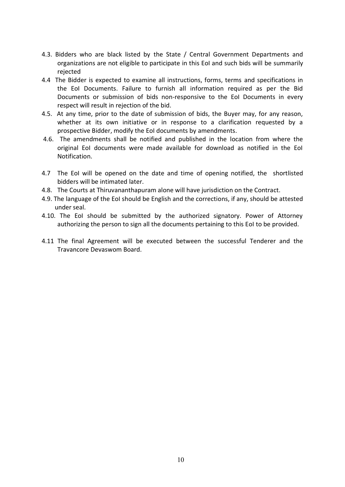- 4.3. Bidders who are black listed by the State / Central Government Departments and organizations are not eligible to participate in this EoI and such bids will be summarily rejected
- 4.4 The Bidder is expected to examine all instructions, forms, terms and specifications in the EoI Documents. Failure to furnish all information required as per the Bid Documents or submission of bids non-responsive to the EoI Documents in every respect will result in rejection of the bid.
- 4.5. At any time, prior to the date of submission of bids, the Buyer may, for any reason, whether at its own initiative or in response to a clarification requested by a prospective Bidder, modify the EoI documents by amendments.
- 4.6. The amendments shall be notified and published in the location from where the original EoI documents were made available for download as notified in the EoI Notification.
- 4.7 The EoI will be opened on the date and time of opening notified, the shortlisted bidders will be intimated later.
- 4.8. The Courts at Thiruvananthapuram alone will have jurisdiction on the Contract.
- 4.9. The language of the EoI should be English and the corrections, if any, should be attested under seal.
- 4.10. The EoI should be submitted by the authorized signatory. Power of Attorney authorizing the person to sign all the documents pertaining to this EoI to be provided.
- 4.11 The final Agreement will be executed between the successful Tenderer and the Travancore Devaswom Board.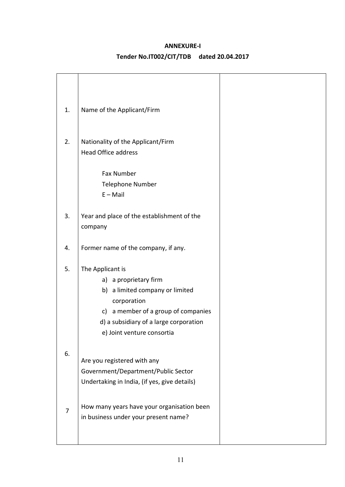#### **ANNEXURE-I**

## **Tender No.IT002/CIT/TDB dated 20.04.2017**

| 1. | Name of the Applicant/Firm                                         |
|----|--------------------------------------------------------------------|
|    |                                                                    |
| 2. | Nationality of the Applicant/Firm                                  |
|    | <b>Head Office address</b>                                         |
|    | Fax Number                                                         |
|    | <b>Telephone Number</b>                                            |
|    | $E - Mail$                                                         |
|    |                                                                    |
| 3. | Year and place of the establishment of the<br>company              |
|    |                                                                    |
| 4. | Former name of the company, if any.                                |
| 5. | The Applicant is                                                   |
|    | a) a proprietary firm                                              |
|    | b) a limited company or limited                                    |
|    | corporation                                                        |
|    | c) a member of a group of companies                                |
|    | d) a subsidiary of a large corporation                             |
|    | e) Joint venture consortia                                         |
| 6. |                                                                    |
|    | Are you registered with any<br>Government/Department/Public Sector |
|    | Undertaking in India, (if yes, give details)                       |
|    |                                                                    |
| 7  | How many years have your organisation been                         |
|    | in business under your present name?                               |
|    |                                                                    |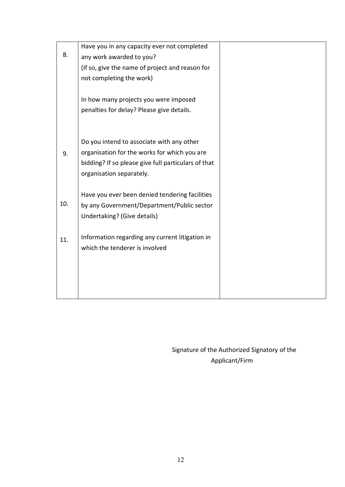|     | Have you in any capacity ever not completed         |  |
|-----|-----------------------------------------------------|--|
| 8.  | any work awarded to you?                            |  |
|     | (If so, give the name of project and reason for     |  |
|     | not completing the work)                            |  |
|     |                                                     |  |
|     | In how many projects you were imposed               |  |
|     | penalties for delay? Please give details.           |  |
|     |                                                     |  |
|     |                                                     |  |
|     | Do you intend to associate with any other           |  |
| 9.  | organisation for the works for which you are        |  |
|     | bidding? If so please give full particulars of that |  |
|     | organisation separately.                            |  |
|     |                                                     |  |
| 10. | Have you ever been denied tendering facilities      |  |
|     | by any Government/Department/Public sector          |  |
|     | Undertaking? (Give details)                         |  |
|     | Information regarding any current litigation in     |  |
| 11. | which the tenderer is involved                      |  |
|     |                                                     |  |
|     |                                                     |  |
|     |                                                     |  |
|     |                                                     |  |
|     |                                                     |  |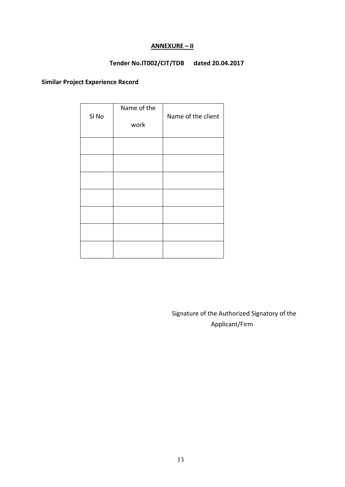#### **ANNEXURE – II**

## **Tender No.IT002/CIT/TDB dated 20.04.2017**

### **Similar Project Experience Record**

| SI <sub>No</sub> | Name of the<br>work | Name of the client |
|------------------|---------------------|--------------------|
|                  |                     |                    |
|                  |                     |                    |
|                  |                     |                    |
|                  |                     |                    |
|                  |                     |                    |
|                  |                     |                    |
|                  |                     |                    |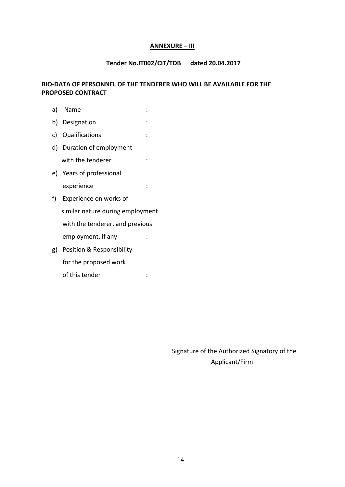#### **ANNEXURE – III**

#### **Tender No.IT002/CIT/TDB dated 20.04.2017**

#### **BIO-DATA OF PERSONNEL OF THE TENDERER WHO WILL BE AVAILABLE FOR THE PROPOSED CONTRACT**

| a) | Name                             |  |
|----|----------------------------------|--|
|    | b) Designation                   |  |
|    | c) Qualifications                |  |
|    | d) Duration of employment        |  |
|    | with the tenderer                |  |
|    | e) Years of professional         |  |
|    | experience                       |  |
| f) | Experience on works of           |  |
|    | similar nature during employment |  |
|    | with the tenderer, and previous  |  |
|    | employment, if any               |  |
| g) | Position & Responsibility        |  |
|    | for the proposed work            |  |
|    | of this tender                   |  |